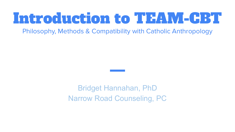# Introduction to TEAM-CBT

Philosophy, Methods & Compatibility with Catholic Anthropology

Bridget Hannahan, PhD Narrow Road Counseling, PC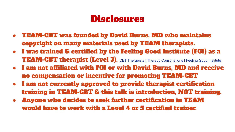# Disclosures

- TEAM-CBT was founded by David Burns, MD who maintains copyright on many materials used by TEAM therapists.
- I was trained & certified by the Feeling Good Institute (FGI) as a **TEAM-CBT therapist (Level 3).** [CBT Therapists | Therapy Consultations | Feeling Good Institute](https://www.feelinggoodinstitute.com/)
- I am not affiliated with FGI or with David Burns, MD and receive no compensation or incentive for promoting TEAM-CBT
- I am not currently approved to provide therapist certification training in TEAM-CBT & this talk is introduction, NOT training.
- Anyone who decides to seek further certification in TEAM would have to work with a Level 4 or 5 certified trainer.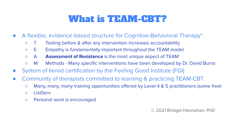# What is TEAM-CBT?

- A flexible, evidence-based structure for Cognitive-Behavioral Therapy\*
	- T Testing before & after any intervention increases accountability
	- E Empathy is fundamentally important throughout the TEAM model
	- A **Assessment of Resistance** is the most unique aspect of TEAM
	- M Methods Many specific interventions have been developed by Dr. David Burns
- System of tiered certification by the Feeling Good Institute (FGI)
- Community of therapists committed to learning & practicing TEAM-CBT
	- Many, many, many training opportunities offered by Level 4 & 5 practitioners (some free)
	- ListServ
	- Personal work is encouraged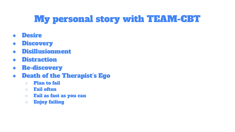# My personal story with TEAM-CBT

- Desire
- Discovery
- Disillusionment
- Distraction
- Re-discovery
- Death of the Therapist's Ego
	- Plan to fail
	- Fail often
	- Fail as fast as you can
	- Enjoy failing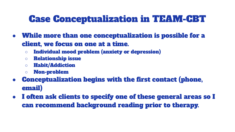# Case Conceptualization in TEAM-CBT

- While more than one conceptualization is possible for a client, we focus on one at a time.
	- Individual mood problem (anxiety or depression)
	- Relationship issue
	- Habit/Addiction
	- Non-problem
- Conceptualization begins with the first contact (phone, email)
- I often ask clients to specify one of these general areas so I can recommend background reading prior to therapy.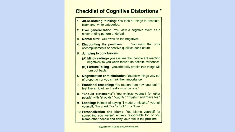#### **Checklist of Cognitive Distortions \***

- 1. All-or-nothing thinking: You look at things in absolute, black-and-white categories.
- 2. Over generalization: You view a negative event as a never-ending pattern of defeat.
- $3.$ Mental filter: You dwell on the negatives.
- 4. Discounting the positives: You insist that your accomplishments or positive qualities don't count.
- 5. Jumping to conclusions:
	- (A) Mind-reading-- you assume that people are reacting negatively to you when there's no definite evidence:
	- (B) Fortune Telling-- you arbitrarily predict that things will turn out badly.
- 6. Magnification or minimization: You blow things way out of proportion or you shrink their importance.
- 7. Emotional reasoning: You reason from how you feel: "I feel like an idiot, so I really must be one."
- 8. "Should statements": You criticize yourself (or other people) with "shoulds," "oughts," "musts," and "have tos."
- 9. Labeling: Instead of saying "I made a mistake," you tell vourself, "I'm a jerk," or "a fool," or a "loser."
- 10. Personalization and blame: You blame yourself for something you weren't entirely responsible for, or you blame other people and deny your role in the problem.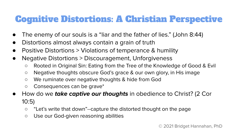# Cognitive Distortions: A Christian Perspective

- The enemy of our souls is a "liar and the father of lies." (John 8:44)
- Distortions almost always contain a grain of truth
- Positive Distortions  $>$  Violations of temperance & humility
- Negative Distortions > Discouragement, Unforgiveness
	- Rooted in Original Sin: Eating from the Tree of the Knowledge of Good & Evil
	- Negative thoughts obscure God's grace & our own glory, in His image
	- We ruminate over negative thoughts & hide from God
	- Consequences can be grave\*
- How do we **take captive our thoughts** in obedience to Christ? (2 Cor 10:5)
	- "Let's write that down"--capture the distorted thought on the page
	- Use our God-given reasoning abilities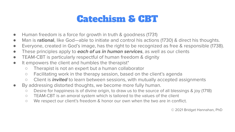#### Catechism & CBT

- Human freedom is a force for growth in truth & goodness (1731)
- Man is **rational**, like God—able to initiate and control his actions (1730) & direct his thoughts.
- Everyone, created in God's image, has the right to be recognized as free & responsible (1738).
- These principles apply to **each of us in human services**, as well as our clients
- TEAM-CBT is particularly respectful of human freedom & dignity
- It empowers the client and humbles the therapist\*
	- Therapist is not an expert but a human collaborator
	- Facilitating work in the therapy session, based on the client's agenda
	- Client is **invited** to learn between sessions, with mutually accepted assignments
- By addressing distorted thoughts, we become more fully human.
	- Desire for happiness is of divine origin, to draw us to the source of all blessings & joy (1718)
	- TEAM-CBT is an amoral system which is tailored to the values of the client
	- We respect our client's freedom & honor our own when the two are in conflict.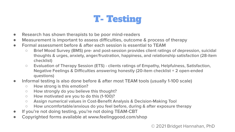# T- Testing

- **Research has shown therapists to be poor mind-readers**
- **Measurement is important to assess difficulties, outcome & process of therapy**
- **Formal assessment before & after each session is essential to TEAM**
	- **Brief Mood Survey (BMS) pre- and post-session provides client ratings of depression, suicidal thoughts & urges, anxiety, anger/frustration, happiness, and relationship satisfaction (28-item checklist)**
	- **Evaluation of Therapy Session (ETS) clients ratings of Empathy, Helpfulness, Satisfaction, Negative Feelings & Difficulties answering honestly (20-item checklist + 2 open-ended questions)**
- **Informal testing is also done before & after most TEAM tools (usually 1-100 scale)**
	- **How strong is this emotion?**
	- **How strongly do you believe this thought?**
	- **How motivated are you to do this (1-100)?**
	- **Assign numerical values in Cost-Benefit Analysis & Decision-Making Tool**
	- **How uncomfortable/anxious do you feel before, during & after exposure therapy**
- **If you're not doing testing, you're not doing TEAM-CBT**
- **Copyrighted forms available at www.feelinggood.com/shop**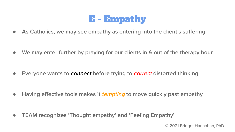

● **As Catholics, we may see empathy as entering into the client's suffering**

● **We may enter further by praying for our clients in & out of the therapy hour**

● **Everyone wants to connect before trying to correct distorted thinking**

● **Having effective tools makes it tempting to move quickly past empathy**

● **TEAM recognizes 'Thought empathy' and 'Feeling Empathy'**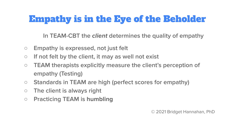# Empathy is in the Eye of the Beholder

**In TEAM-CBT the client determines the quality of empathy**

- **Empathy is expressed, not just felt**
- **If not felt by the client, it may as well not exist**
- **TEAM therapists explicitly measure the client's perception of empathy (Testing)**
- **Standards in TEAM are high (perfect scores for empathy)**
- **The client is always right**
- **Practicing TEAM is humbling**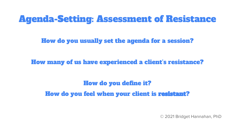#### Agenda-Setting: Assessment of Resistance

How do you usually set the agenda for a session?

How many of us have experienced a client's resistance?

How do you define it? How do you feel when your client is resistant?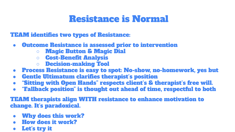# Resistance is Normal

TEAM identifies two types of Resistance:

- Outcome Resistance is assessed prior to intervention
	- Magic Button & Magic Dial
	- Cost-Benefit Analysis
	- Decision-making Tool
- Process Resistance is easy to spot: No-show, no-homework, yes but
- Gentle Ultimatum clarifies therapist's position
- "Sitting with Open Hands" respects client's & therapist's free will.
- "Fallback position" is thought out ahead of time, respectful to both

TEAM therapists align WITH resistance to enhance motivation to change. It's paradoxical.

- Why does this work?
- How does it work?
- Let's try it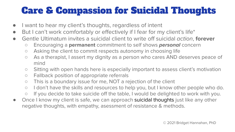# Care & Compassion for Suicidal Thoughts

- I want to hear my client's thoughts, regardless of intent
- But I can't work comfortably or effectively if I fear for my client's life<sup>\*</sup>
- Gentle Ultimatum invites a suicidal client to write off suicidal action, **forever**
	- Encouraging a **permanent** commitment to self shows **personal** concern
	- Asking the client to commit respects autonomy in choosing life
	- As a therapist, I assert my dignity as a person who cares AND deserves peace of mind
	- Sitting with open hands here is especially important to assess client's motivation
	- Fallback position of appropriate referrals
	- This is a boundary issue for me, NOT a rejection of the client
	- I don't have the skills and resources to help you, but I know other people who do.
	- If you decide to take suicide off the table, I would be delighted to work with you.
- Once I know my client is safe, we can approach suicidal thoughts just like any other negative thoughts, with empathy, asessment of resistance & methods.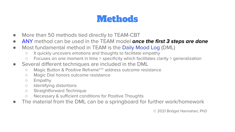# **Methods**

- More than 50 methods tied directly to TEAM-CBT
- ANY method can be used in the TEAM model **once the first 3 steps are done**
- Most fundamental method in TEAM is the Daily Mood Log (DML)
	- It quickly uncovers emotions and thoughts to facilitate empathy
	- Focuses on one moment in time > specificity which facilitates clarity > generalization
- Several different techniques are included in the DML
	- Magic Button & Positive Reframe\*\*\* address outcome resistance
	- Magic Dial honors outcome resistance
	- Empathy
	- Identifying distortions
	- Straightforward Technique
	- Necessary & sufficient conditions for Positive Thoughts
- The material from the DML can be a springboard for further work/homework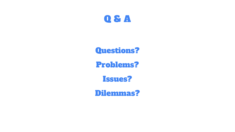

#### Questions?

Problems?

Issues?

Dilemmas?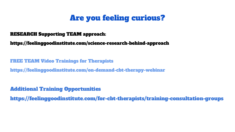#### Are you feeling curious?

#### RESEARCH Supporting TEAM approach:

https://feelinggoodinstitute.com/science-research-behind-approach

FREE TEAM Video Trainings for Therapists

https://feelinggoodinstitute.com/on-demand-cbt-therapy-webinar

Additional Training Opportunities

https://feelinggoodinstitute.com/for-cbt-therapists/training-consultation-groups